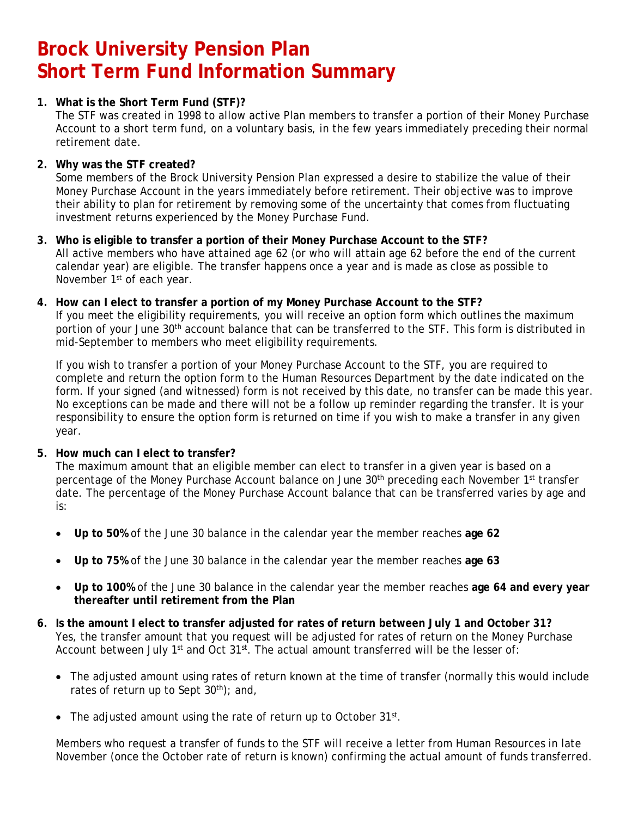# **Brock University Pension Plan Short Term Fund Information Summary**

# **1. What is the Short Term Fund (STF)?**

The STF was created in 1998 to allow active Plan members to transfer a portion of their Money Purchase Account to a short term fund, on a voluntary basis, in the few years immediately preceding their normal retirement date.

# **2. Why was the STF created?**

Some members of the Brock University Pension Plan expressed a desire to stabilize the value of their Money Purchase Account in the years immediately before retirement. Their objective was to improve their ability to plan for retirement by removing some of the uncertainty that comes from fluctuating investment returns experienced by the Money Purchase Fund.

- **3. Who is eligible to transfer a portion of their Money Purchase Account to the STF?**  All active members who have attained age 62 (or who will attain age 62 before the end of the current calendar year) are eligible. The transfer happens once a year and is made as close as possible to November 1<sup>st</sup> of each year.
- **4. How can I elect to transfer a portion of my Money Purchase Account to the STF?**

If you meet the eligibility requirements, you will receive an option form which outlines the maximum portion of your June 30<sup>th</sup> account balance that can be transferred to the STF. This form is distributed in mid-September to members who meet eligibility requirements.

If you wish to transfer a portion of your Money Purchase Account to the STF, you are required to complete and return the option form to the Human Resources Department by the date indicated on the form. If your signed (and witnessed) form is not received by this date, no transfer can be made this year. No exceptions can be made and there will not be a follow up reminder regarding the transfer. It is your responsibility to ensure the option form is returned on time if you wish to make a transfer in any given year.

# **5. How much can I elect to transfer?**

The maximum amount that an eligible member can elect to transfer in a given year is based on a percentage of the Money Purchase Account balance on June 30<sup>th</sup> preceding each November 1<sup>st</sup> transfer date. The percentage of the Money Purchase Account balance that can be transferred varies by age and is:

- **Up to 50%** of the June 30 balance in the calendar year the member reaches **age 62**
- **Up to 75%** of the June 30 balance in the calendar year the member reaches **age 63**
- **Up to 100%** of the June 30 balance in the calendar year the member reaches **age 64 and every year thereafter until retirement from the Plan**
- **6. Is the amount I elect to transfer adjusted for rates of return between July 1 and October 31?**  Yes, the transfer amount that you request will be adjusted for rates of return on the Money Purchase Account between July 1<sup>st</sup> and Oct 31<sup>st</sup>. The actual amount transferred will be the lesser of:
	- The adjusted amount using rates of return known at the time of transfer (normally this would include rates of return up to Sept  $30<sup>th</sup>$ ; and,
	- The adjusted amount using the rate of return up to October 31st.

Members who request a transfer of funds to the STF will receive a letter from Human Resources in late November (once the October rate of return is known) confirming the actual amount of funds transferred.